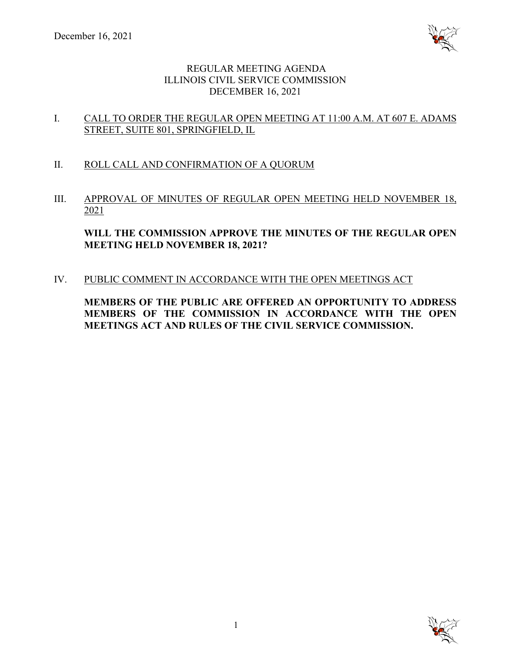

# REGULAR MEETING AGENDA ILLINOIS CIVIL SERVICE COMMISSION DECEMBER 16, 2021

# I. CALL TO ORDER THE REGULAR OPEN MEETING AT 11:00 A.M. AT 607 E. ADAMS STREET, SUITE 801, SPRINGFIELD, IL

- II. ROLL CALL AND CONFIRMATION OF A QUORUM
- III. APPROVAL OF MINUTES OF REGULAR OPEN MEETING HELD NOVEMBER 18, 2021

**WILL THE COMMISSION APPROVE THE MINUTES OF THE REGULAR OPEN MEETING HELD NOVEMBER 18, 2021?**

IV. PUBLIC COMMENT IN ACCORDANCE WITH THE OPEN MEETINGS ACT

**MEMBERS OF THE PUBLIC ARE OFFERED AN OPPORTUNITY TO ADDRESS MEMBERS OF THE COMMISSION IN ACCORDANCE WITH THE OPEN MEETINGS ACT AND RULES OF THE CIVIL SERVICE COMMISSION.**

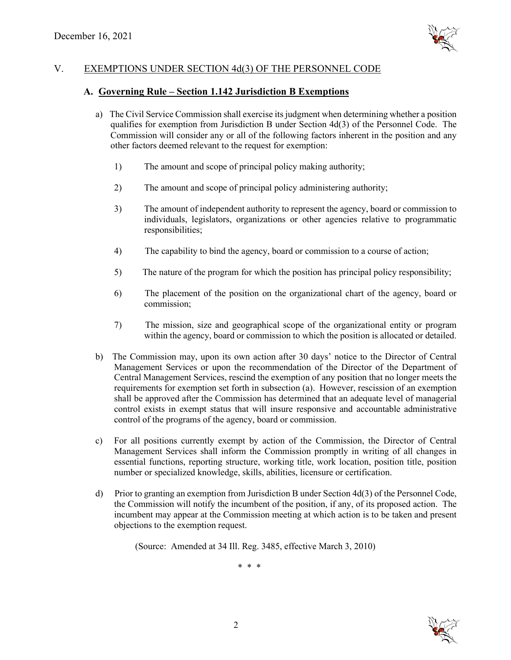

# V. EXEMPTIONS UNDER SECTION 4d(3) OF THE PERSONNEL CODE

## **A. Governing Rule – Section 1.142 Jurisdiction B Exemptions**

- a) The Civil Service Commission shall exercise its judgment when determining whether a position qualifies for exemption from Jurisdiction B under Section 4d(3) of the Personnel Code. The Commission will consider any or all of the following factors inherent in the position and any other factors deemed relevant to the request for exemption:
	- 1) The amount and scope of principal policy making authority;
	- 2) The amount and scope of principal policy administering authority;
	- 3) The amount of independent authority to represent the agency, board or commission to individuals, legislators, organizations or other agencies relative to programmatic responsibilities;
	- 4) The capability to bind the agency, board or commission to a course of action;
	- 5) The nature of the program for which the position has principal policy responsibility;
	- 6) The placement of the position on the organizational chart of the agency, board or commission;
	- 7) The mission, size and geographical scope of the organizational entity or program within the agency, board or commission to which the position is allocated or detailed.
- b) The Commission may, upon its own action after 30 days' notice to the Director of Central Management Services or upon the recommendation of the Director of the Department of Central Management Services, rescind the exemption of any position that no longer meets the requirements for exemption set forth in subsection (a). However, rescission of an exemption shall be approved after the Commission has determined that an adequate level of managerial control exists in exempt status that will insure responsive and accountable administrative control of the programs of the agency, board or commission.
- c) For all positions currently exempt by action of the Commission, the Director of Central Management Services shall inform the Commission promptly in writing of all changes in essential functions, reporting structure, working title, work location, position title, position number or specialized knowledge, skills, abilities, licensure or certification.
- d) Prior to granting an exemption from Jurisdiction B under Section 4d(3) of the Personnel Code, the Commission will notify the incumbent of the position, if any, of its proposed action. The incumbent may appear at the Commission meeting at which action is to be taken and present objections to the exemption request.

(Source: Amended at 34 Ill. Reg. 3485, effective March 3, 2010)

\* \* \*

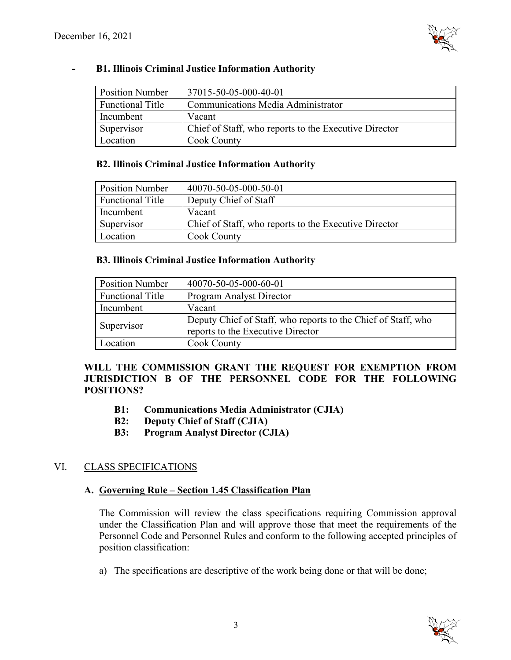

### **- B1. Illinois Criminal Justice Information Authority**

| <b>Position Number</b>  | 37015-50-05-000-40-01                                 |
|-------------------------|-------------------------------------------------------|
| <b>Functional Title</b> | Communications Media Administrator                    |
| Incumbent               | Vacant                                                |
| Supervisor              | Chief of Staff, who reports to the Executive Director |
| Location                | <b>Cook County</b>                                    |

#### **B2. Illinois Criminal Justice Information Authority**

| <b>Position Number</b>  | 40070-50-05-000-50-01                                 |
|-------------------------|-------------------------------------------------------|
| <b>Functional Title</b> | Deputy Chief of Staff                                 |
| Incumbent               | Vacant                                                |
| Supervisor              | Chief of Staff, who reports to the Executive Director |
| Location                | <b>Cook County</b>                                    |

#### **B3. Illinois Criminal Justice Information Authority**

| <b>Position Number</b>  | 40070-50-05-000-60-01                                                                              |  |
|-------------------------|----------------------------------------------------------------------------------------------------|--|
| <b>Functional Title</b> | Program Analyst Director                                                                           |  |
| Incumbent               | Vacant                                                                                             |  |
| Supervisor              | Deputy Chief of Staff, who reports to the Chief of Staff, who<br>reports to the Executive Director |  |
| Location                | <b>Cook County</b>                                                                                 |  |

## **WILL THE COMMISSION GRANT THE REQUEST FOR EXEMPTION FROM JURISDICTION B OF THE PERSONNEL CODE FOR THE FOLLOWING POSITIONS?**

- **B1: Communications Media Administrator (CJIA)**
- **B2: Deputy Chief of Staff (CJIA)**
- **B3: Program Analyst Director (CJIA)**

## VI. CLASS SPECIFICATIONS

### **A. Governing Rule – Section 1.45 Classification Plan**

The Commission will review the class specifications requiring Commission approval under the Classification Plan and will approve those that meet the requirements of the Personnel Code and Personnel Rules and conform to the following accepted principles of position classification:

a) The specifications are descriptive of the work being done or that will be done;

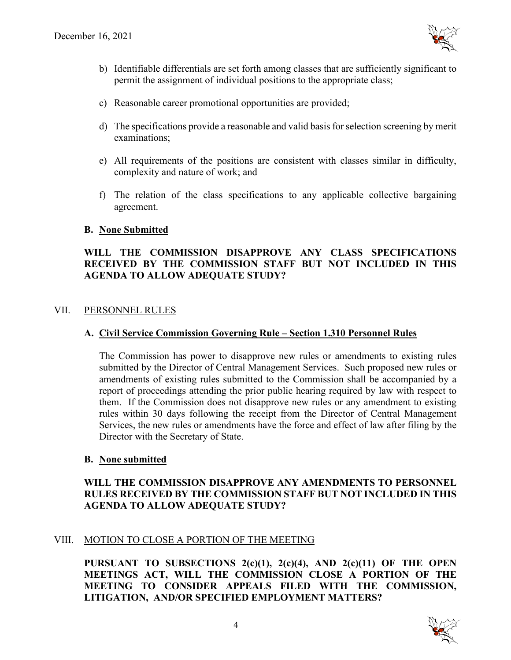

- b) Identifiable differentials are set forth among classes that are sufficiently significant to permit the assignment of individual positions to the appropriate class;
- c) Reasonable career promotional opportunities are provided;
- d) The specifications provide a reasonable and valid basis for selection screening by merit examinations;
- e) All requirements of the positions are consistent with classes similar in difficulty, complexity and nature of work; and
- f) The relation of the class specifications to any applicable collective bargaining agreement.

### **B. None Submitted**

## **WILL THE COMMISSION DISAPPROVE ANY CLASS SPECIFICATIONS RECEIVED BY THE COMMISSION STAFF BUT NOT INCLUDED IN THIS AGENDA TO ALLOW ADEQUATE STUDY?**

### VII. PERSONNEL RULES

### **A. Civil Service Commission Governing Rule – Section 1.310 Personnel Rules**

The Commission has power to disapprove new rules or amendments to existing rules submitted by the Director of Central Management Services. Such proposed new rules or amendments of existing rules submitted to the Commission shall be accompanied by a report of proceedings attending the prior public hearing required by law with respect to them. If the Commission does not disapprove new rules or any amendment to existing rules within 30 days following the receipt from the Director of Central Management Services, the new rules or amendments have the force and effect of law after filing by the Director with the Secretary of State.

### **B. None submitted**

## **WILL THE COMMISSION DISAPPROVE ANY AMENDMENTS TO PERSONNEL RULES RECEIVED BY THE COMMISSION STAFF BUT NOT INCLUDED IN THIS AGENDA TO ALLOW ADEQUATE STUDY?**

## VIII. MOTION TO CLOSE A PORTION OF THE MEETING

**PURSUANT TO SUBSECTIONS 2(c)(1), 2(c)(4), AND 2(c)(11) OF THE OPEN MEETINGS ACT, WILL THE COMMISSION CLOSE A PORTION OF THE MEETING TO CONSIDER APPEALS FILED WITH THE COMMISSION, LITIGATION, AND/OR SPECIFIED EMPLOYMENT MATTERS?**

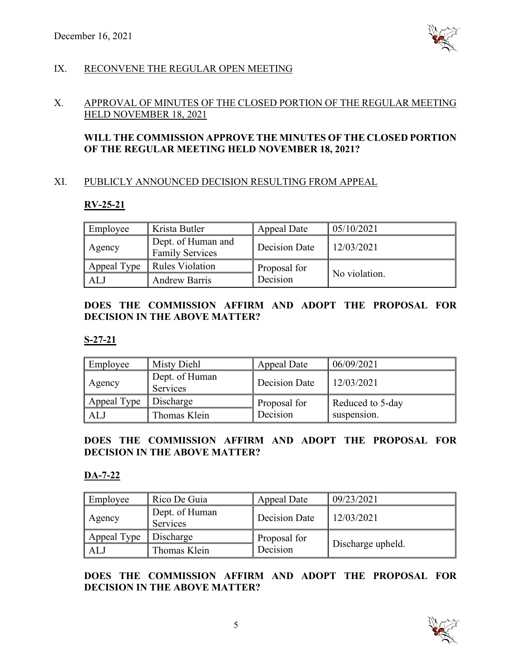

# IX. RECONVENE THE REGULAR OPEN MEETING

## X. APPROVAL OF MINUTES OF THE CLOSED PORTION OF THE REGULAR MEETING HELD NOVEMBER 18, 2021

# **WILL THE COMMISSION APPROVE THE MINUTES OF THE CLOSED PORTION OF THE REGULAR MEETING HELD NOVEMBER 18, 2021?**

## XI. PUBLICLY ANNOUNCED DECISION RESULTING FROM APPEAL

# **RV-25-21**

| Employee    | Krista Butler                                | Appeal Date   | 05/10/2021    |
|-------------|----------------------------------------------|---------------|---------------|
| Agency      | Dept. of Human and<br><b>Family Services</b> | Decision Date | 12/03/2021    |
| Appeal Type | <b>Rules Violation</b>                       | Proposal for  |               |
| AL.         | <b>Andrew Barris</b>                         | Decision      | No violation. |

# **DOES THE COMMISSION AFFIRM AND ADOPT THE PROPOSAL FOR DECISION IN THE ABOVE MATTER?**

## **S-27-21**

| Employee    | Misty Diehl                | Appeal Date   | 06/09/2021       |
|-------------|----------------------------|---------------|------------------|
| Agency      | Dept. of Human<br>Services | Decision Date | 12/03/2021       |
| Appeal Type | Discharge                  | Proposal for  | Reduced to 5-day |
| ALJ         | Thomas Klein               | Decision      | suspension.      |

## **DOES THE COMMISSION AFFIRM AND ADOPT THE PROPOSAL FOR DECISION IN THE ABOVE MATTER?**

## **DA-7-22**

| Employee    | Rico De Guia               | <b>Appeal Date</b> | 09/23/2021        |
|-------------|----------------------------|--------------------|-------------------|
| Agency      | Dept. of Human<br>Services | Decision Date      | 12/03/2021        |
| Appeal Type | Discharge                  | Proposal for       |                   |
| AL.         | Thomas Klein               | Decision           | Discharge upheld. |

**DOES THE COMMISSION AFFIRM AND ADOPT THE PROPOSAL FOR DECISION IN THE ABOVE MATTER?**